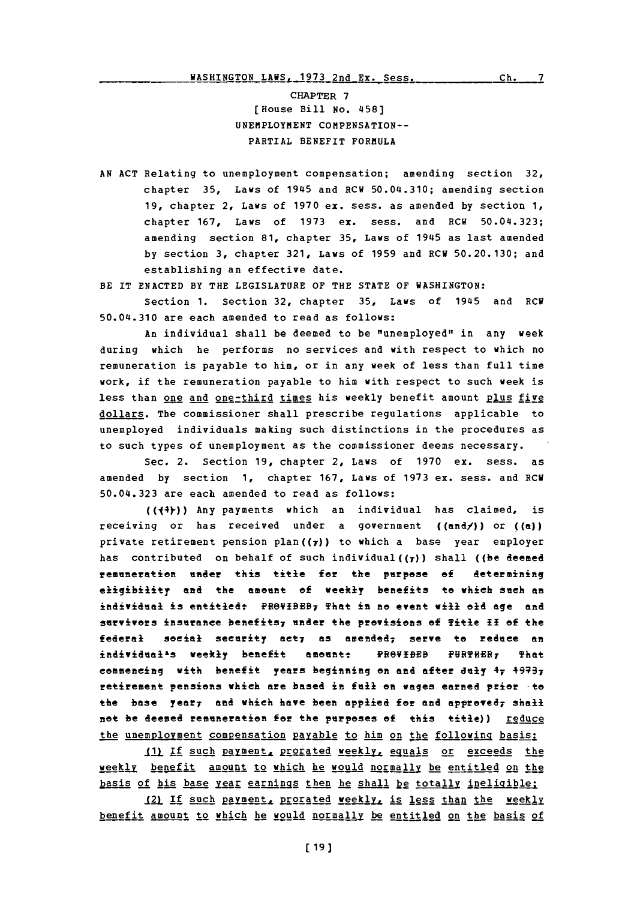CHAPTER **7** [House Bill **No.** 458) UNEMPLOYMENT COMPENSATION--PARTIAL BENEFIT FORMULA

**AN ACT** Relating to unemployment compensation; amending section **32,** chapter **35,** Laws of 1945 and RCU 50.04.310; amending section **19,** chapter 2, Laws of **1970** ex. sess. as amended **by** section **1,** chapter **167,** Laws of **1973** ex. sess. and RCW 50.04.323; amending section **81,** chapter **35,** Laws of 1945 as last amended **by** section **3,** chapter **321,** Laws of **1959** and ECW **50.20.130;** and establishing an effective date.

BE IT **ENACTED** BY THE LEGISLATURE OF THE **STATE** OF **WASHINGTON:**

Section **1.** Section **32,** chapter **35,** Laws of 1945 and RCW 50.04.310 are each amended to read as follows:

An individual shall be deemed to be "unemployed" in any week during which he performs no services and with respect to which no remuneration is payable to him, or in any week of less than full time work, if the remuneration payable to him with respect to such week is less than one and one-third times his weekly benefit amount plus five dollars. The commissioner shall prescribe regulations applicable to unemployed individuals making such distinctions in the procedures as to such types of unemployment as the commissioner deems necessary.

Sec. 2. Section **19,** chapter 2, Laws of **1970** ex. sess. as amended **by** section **1,** chapter **167,** Laws of **1973** ex. sess. and ECU 50.04.323 are each amended to read as follows:

(((4))) Any payments which an individual has claimed, is receiving or has received under a government ((and/)) or **((a))** private retirement pension plan $((7))$  to which a base year employer has contributed on behalf of such individual( $(f)$ ) shall ((be deemed remnerton ander this title for the purpose **of** determining eligibility and the amount **of** weekly benefits to which such an individual is entitiedt PfeVIBEB7 That in **me event will** old age and survivors insurance benefits<sub>7</sub> under the provisions of Title II of the federal social security act; as amended; serve to reduce an individual<sup>1</sup>s weekly benefit amount: **PROVIDED FURTHER**, That commencing with benefit years beginning on and after duly 47 49737 retirement pensions which are based in **fell** en wages earned prier -to the base year, and which have been applied for and approved, shall not be deemed remuneration for the purposes of this title)) reduce the unemployment compensation payable to him on the following basis:

**11)** If such payment, prorated weekly, equals or exceeds the weekI2 benefit amount to which he would normally be entitled on the basis of his base year earnings then he shall be totally ineligible:

121 If such payment, prorated weekly, is less than the weekly benefit amount to which he would normally be entitled on the basis of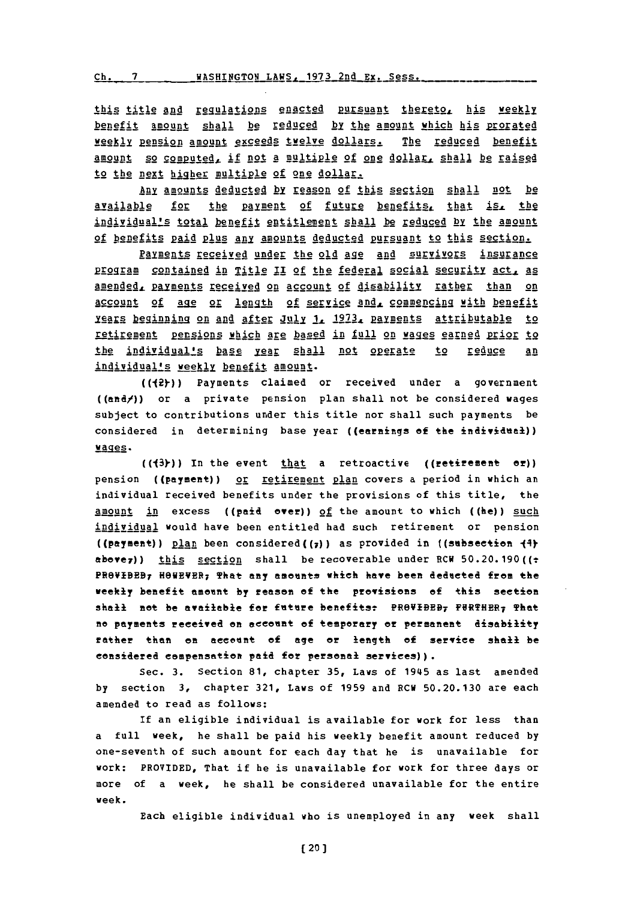this title and regulations enacted pursuant thereto, his weekly benefit amount shall **be** reduged by the amount which his prorated weekly pension amount exceeds twelve dollars. The reduced benefit amount so computed, if not a multiple of one dollar, shall be raised to the next higher multiple **of** one dollar.

Auy amounts deducted by reason of this section shall not be available for the payment of future benefits, that is, the individuals total benefit entitlement shall be reduced **by** the amount of benefits paid plus any amounts deducted pursuant to this section.

Paiments received under the old age **and** survivors insurance program contained in Title II of the federal social security act **as** amended, payments received on account of disability rather than on account of age or length of service and, commencing with benefit **Isars beginning on and after July 1. 1973. payments attributable to** retirement pensions which are based in full on wages earned prior to the individual's base year shall not operate to reduce an individual's weekly benefit amount.

(((2))) Payments claimed or received under a government ((and/)) or a private pension plan shall not be considered wages subject to contributions under this title nor shall such payments be considered in determining base year ((earnings **of** the **individual))** wages.

(((3))) In the event that a retroactive ((retirement or)) pension ((payment)) or retirement plan covers a period in which an individual received benefits under the provisions of this title, the amount in excess ((paid ever)) **of** the amount to which ((he)) such! individual would have been entitled had such retirement or pension ((payment)) plan been considered((7)) as provided in ((subsection  $\{4\}$ above<sub>7</sub>)) this section shall be recoverable under RCH 50.20.190(( $\pm$ PROVIBEB<sub>7</sub> HOWEVER<sub>7</sub> That any amounts which have been deducted from the weekly benefit amonnt **by** reason **of** the provisions of this section shall not be available for future benefits: PROVIBEB7 FURTHER7 That no payments received on account of temporary or permanent disability rather than on aceannt of age or length **of** service shall be considered eampensation paid for personal services)).

Sec. **3.** Section **81,** chapter **35,** Laws of 1945 as last amended **by** section **3,** chapter **321,** Laws **of 1959** and RCH **50.20.130** are each amended to read as follows:

If an eligible individual is available for work for less than a full week, he shall be paid his weekly benefit amount reduced **by** one-seventh of such amount for each day that he is unavailable for work: PROVIDED, That if he is unavailable for work for three days or more of a week, he shall be considered unavailable for the entire week.

Each eligible individual who is unemployed in any week shall